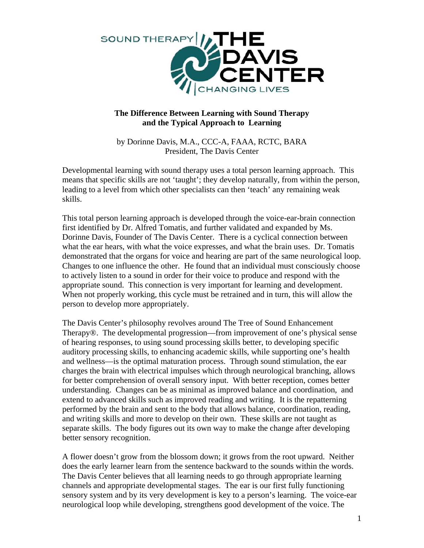

## **The Difference Between Learning with Sound Therapy and the Typical Approach to Learning**

by Dorinne Davis, M.A., CCC-A, FAAA, RCTC, BARA President, The Davis Center

Developmental learning with sound therapy uses a total person learning approach. This means that specific skills are not 'taught'; they develop naturally, from within the person, leading to a level from which other specialists can then 'teach' any remaining weak skills.

This total person learning approach is developed through the voice-ear-brain connection first identified by Dr. Alfred Tomatis, and further validated and expanded by Ms. Dorinne Davis, Founder of The Davis Center. There is a cyclical connection between what the ear hears, with what the voice expresses, and what the brain uses. Dr. Tomatis demonstrated that the organs for voice and hearing are part of the same neurological loop. Changes to one influence the other. He found that an individual must consciously choose to actively listen to a sound in order for their voice to produce and respond with the appropriate sound. This connection is very important for learning and development. When not properly working, this cycle must be retrained and in turn, this will allow the person to develop more appropriately.

The Davis Center's philosophy revolves around The Tree of Sound Enhancement Therapy®. The developmental progression—from improvement of one's physical sense of hearing responses, to using sound processing skills better, to developing specific auditory processing skills, to enhancing academic skills, while supporting one's health and wellness—is the optimal maturation process. Through sound stimulation, the ear charges the brain with electrical impulses which through neurological branching, allows for better comprehension of overall sensory input. With better reception, comes better understanding. Changes can be as minimal as improved balance and coordination, and extend to advanced skills such as improved reading and writing. It is the repatterning performed by the brain and sent to the body that allows balance, coordination, reading, and writing skills and more to develop on their own. These skills are not taught as separate skills. The body figures out its own way to make the change after developing better sensory recognition.

A flower doesn't grow from the blossom down; it grows from the root upward. Neither does the early learner learn from the sentence backward to the sounds within the words. The Davis Center believes that all learning needs to go through appropriate learning channels and appropriate developmental stages. The ear is our first fully functioning sensory system and by its very development is key to a person's learning. The voice-ear neurological loop while developing, strengthens good development of the voice. The